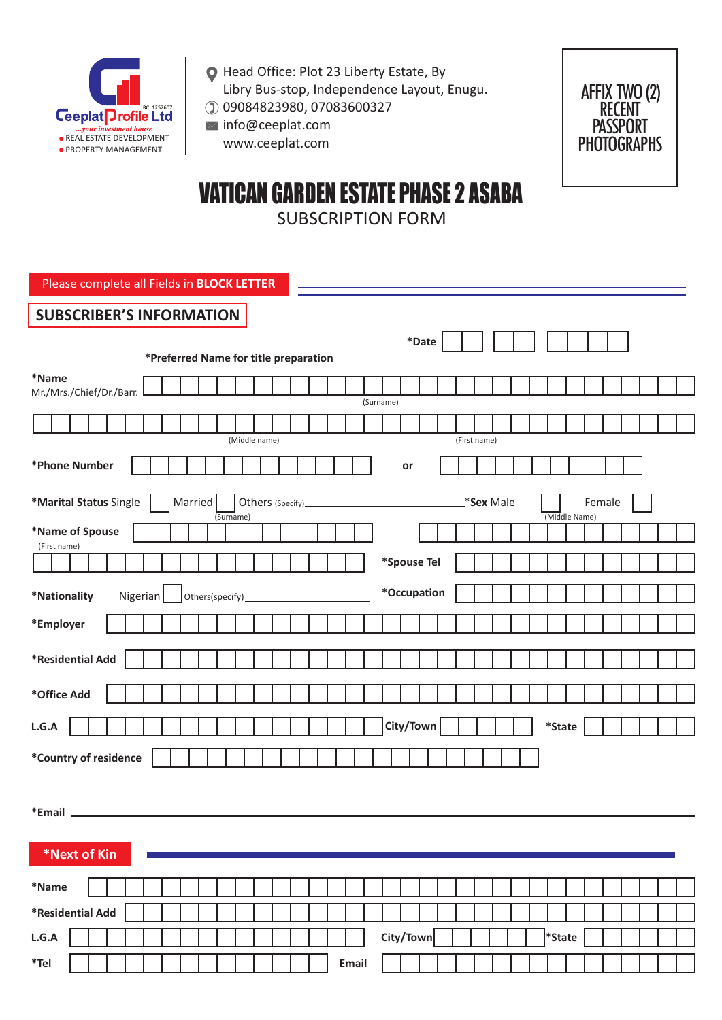

- Head Office: Plot 23 Liberty Estate, By Libry Bus-stop, Independence Layout, Enugu.
- 09084823980, 07083600327
- $\boxtimes$  info@ceeplat.com www.ceeplat.com



# VATICAN GARDEN ESTATE PHASE 2 ASABA

SUBSCRIPTION FORM

**SUBSCRIBER'S INFORMATION**  Please complete all Fields in **BLOCK LETTER \*Next of Kin \*Name \*Email L.G.A L.G.A City/Town City/Town \*State \*State \*Residential Add \*Office Add \*Residential Add \*Employer \*Name of Spouse \*Marital Status** Single **\*Phone Number or \*Name** Mr./Mrs./Chief/Dr./Barr. **\*Preferred Name for title preparation**  Married Others (Specify) \***Sex** Male Female (Surname) (Middle Name) (Surname) (Middle name) (First name) (First name) **\*Nationality \*Spouse Tel** Nigerian others(specify) **1996 \*Occupation \*Tel Email \*Country of residence \*Date**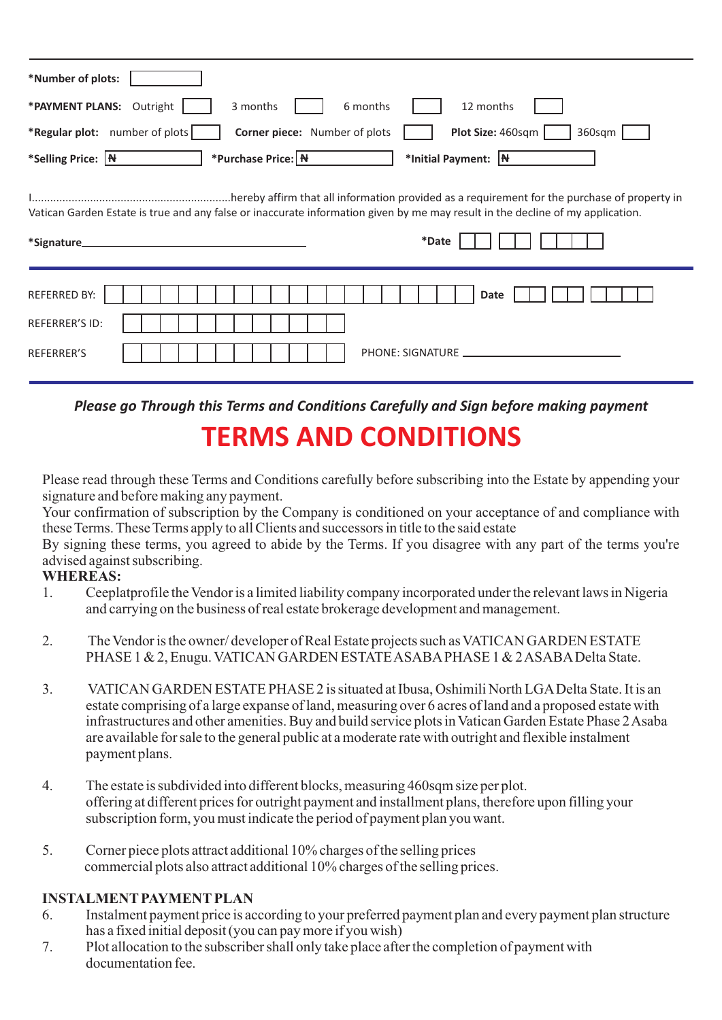| *Number of plots:                                                                                                                                      |
|--------------------------------------------------------------------------------------------------------------------------------------------------------|
| *PAYMENT PLANS: Outright<br>6 months<br>3 months<br>12 months                                                                                          |
| *Regular plot: number of plots<br>Plot Size: 460sqm<br>Corner piece: Number of plots<br>360sqm                                                         |
| *Selling Price: N<br>*Purchase Price: N<br>*Initial Payment: $ \mathbf{H} $                                                                            |
| Vatican Garden Estate is true and any false or inaccurate information given by me may result in the decline of my application.<br>*Date<br>*Signature_ |
| <b>REFERRED BY:</b><br>Date                                                                                                                            |
| <b>REFERRER'S ID:</b>                                                                                                                                  |
| REFERRER'S<br>PHONE: SIGNATURE                                                                                                                         |

*Please go Through this Terms and Conditions Carefully and Sign before making payment*  **TERMS AND CONDITIONS**

Please read through these Terms and Conditions carefully before subscribing into the Estate by appending your signature and before making any payment.

Your confirmation of subscription by the Company is conditioned on your acceptance of and compliance with these Terms. These Terms apply to all Clients and successors in title to the said estate

By signing these terms, you agreed to abide by the Terms. If you disagree with any part of the terms you're advised against subscribing.

# **WHEREAS:**

- 1. Ceeplatprofile the Vendor is a limited liability company incorporated under the relevant laws in Nigeria and carrying on the business of real estate brokerage development and management.
- 2. The Vendor is the owner/ developer of Real Estate projects such as VATICAN GARDEN ESTATE PHASE 1 & 2, Enugu. VATICAN GARDEN ESTATE ASABA PHASE 1 & 2 ASABA Delta State.
- 3. VATICAN GARDEN ESTATE PHASE 2 is situated at Ibusa, Oshimili North LGADelta State. It is an estate comprising of a large expanse of land, measuring over 6 acres of land and a proposed estate with infrastructures and other amenities. Buy and build service plots in Vatican Garden Estate Phase 2 Asaba are available for sale to the general public at a moderate rate with outright and flexible instalment payment plans.
- 4. The estate is subdivided into different blocks, measuring 460sqm size per plot. offering at different prices for outright payment and installment plans, therefore upon filling your subscription form, you must indicate the period of payment plan you want.
- 5. Corner piece plots attract additional 10% charges of the selling prices commercial plots also attract additional 10% charges of the selling prices.

## **INSTALMENT PAYMENT PLAN**

- 6. Instalment payment price is according to your preferred payment plan and every payment plan structure has a fixed initial deposit (you can pay more if you wish)
- 7. Plot allocation to the subscriber shall only take place after the completion of payment with documentation fee.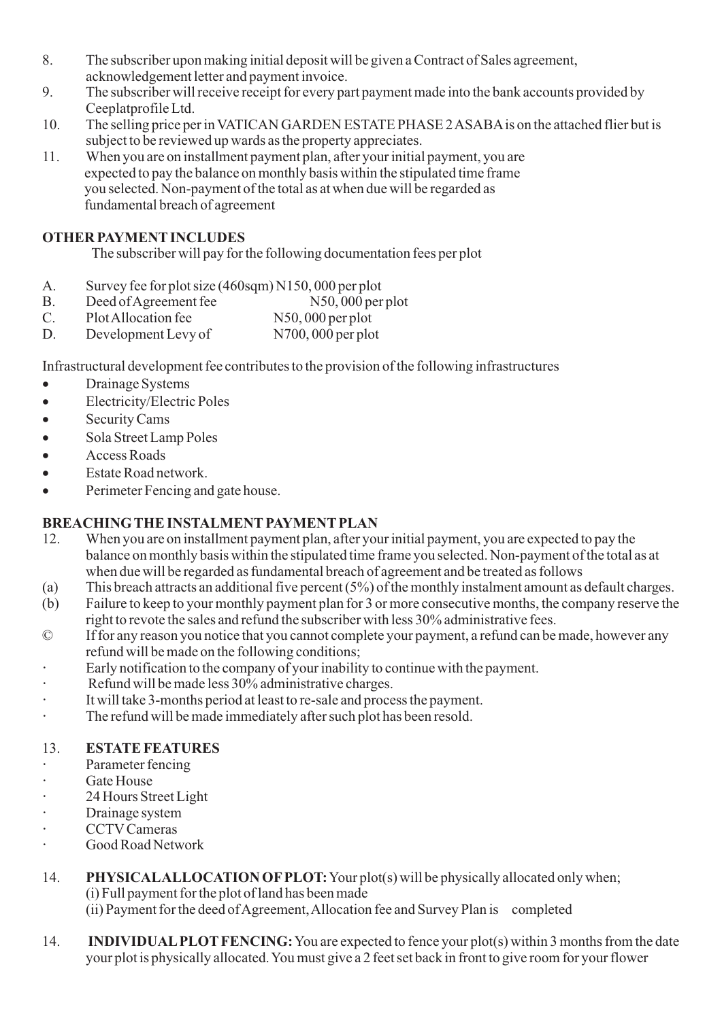- 8. The subscriber upon making initial deposit will be given a Contract of Sales agreement, acknowledgement letter and payment invoice.
- 9. The subscriber will receive receipt for every part payment made into the bank accounts provided by Ceeplatprofile Ltd.
- 10. The selling price per in VATICAN GARDEN ESTATE PHASE 2 ASABAis on the attached flier but is subject to be reviewed up wards as the property appreciates.
- 11. When you are on installment payment plan, after your initial payment, you are expected to pay the balance on monthly basis within the stipulated time frame you selected. Non-payment of the total as at when due will be regarded as fundamental breach of agreement

# **OTHER PAYMENTINCLUDES**

The subscriber will pay for the following documentation fees per plot

- A. Survey fee for plot size (460sqm) N150, 000 per plot<br>B. Deed of Agreement fee N50, 000 per plot
- B. Deed of Agreement fee N50, 000 per plot<br>C. Plot Allocation fee N50, 000 per plot
- C. Plot Allocation fee
- D. Development Levy of N700, 000 per plot

Infrastructural development fee contributes to the provision of the following infrastructures <br>• Drainage Systems

- 
- Drainage Systems<br>• Electricity/Electri • Electricity/Electric Poles<br>• Security Cams
- 
- Security Cams<br>• Sola Street Lan • Sola Street Lamp Poles<br>• Access Roads
- 
- Access Roads<br>• Estate Road network
- ·Estate Road network. Perimeter Fencing and gate house.

## **BREACHING THE INSTALMENT PAYMENT PLAN**

- 12. When you are on installment payment plan, after your initial payment, you are expected to pay the balance on monthly basis within the stipulated time frame you selected. Non-payment of the total as at when due will be regarded as fundamental breach of agreement and be treated as follows
- (a) This breach attracts an additional five percent (5%) of the monthly instalment amount as default charges.
- (b) Failure to keep to your monthly payment plan for 3 or more consecutive months, the company reserve the right to revote the sales and refund the subscriber with less 30% administrative fees.
- © If for any reason you notice that you cannot complete your payment, a refund can be made, however any refund will be made on the following conditions;
- **·** Early notification to the company of your inability to continue with the payment.
- **·** Refund will be made less 30% administrative charges.
- **·** It will take 3-months period at least to re-sale and process the payment.
- **·** The refund will be made immediately after such plot has been resold.

#### 13. **ESTATE FEATURES**

- **·** Parameter fencing
- **·** Gate House
- **·** 24 Hours Street Light
- **·** Drainage system
- **·** CCTVCameras
- **·** Good Road Network
- 14. **PHYSICALALLOCATION OFPLOT:**Your plot(s) will be physically allocated only when; (i) Full payment for the plot of land has been made

(ii) Payment for the deed of Agreement, Allocation fee and Survey Plan is completed

14. **INDIVIDUAL PLOT FENCING:** You are expected to fence your plot(s) within 3 months from the date your plot is physically allocated. You must give a 2 feet set back in front to give room for your flower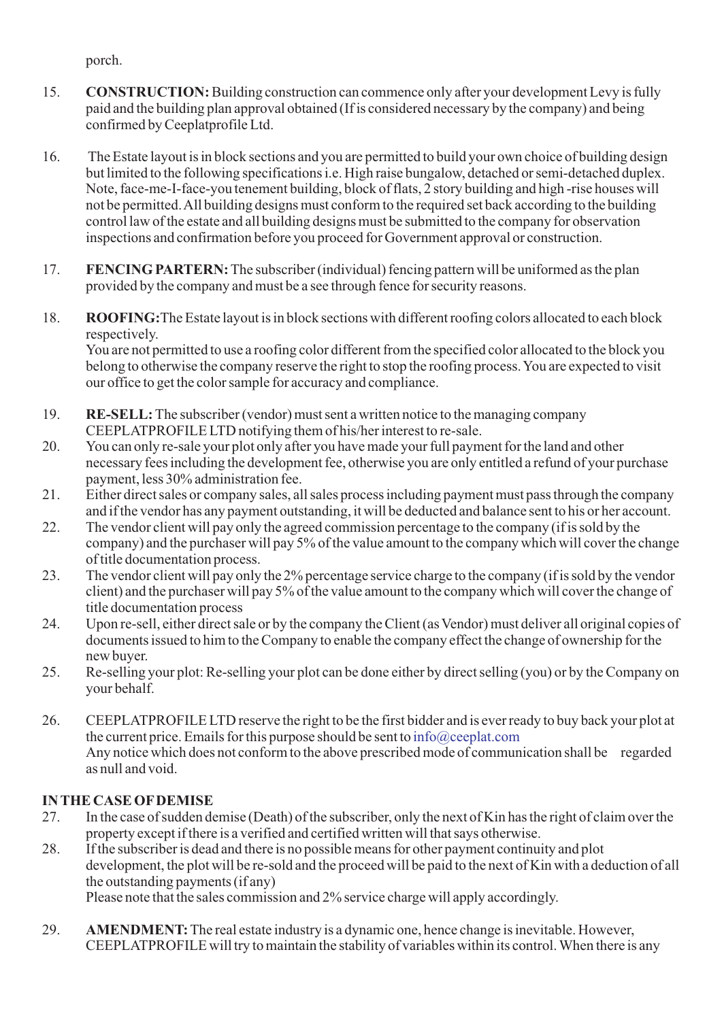porch.

- 15. **CONSTRUCTION:**Building construction can commence only after your development Levy is fully paid and the building plan approval obtained (If is considered necessary by the company) and being confirmed by Ceeplatprofile Ltd.
- 16. The Estate layout is in block sections and you are permitted to build your own choice of building design but limited to the following specifications i.e. High raise bungalow, detached or semi-detached duplex. Note, face-me-I-face-you tenement building, block of flats, 2 story building and high -rise houses will not be permitted. All building designs must conform to the required set back according to the building control law of the estate and all building designs must be submitted to the company for observation inspections and confirmation before you proceed for Government approval or construction.
- 17. **FENCING PARTERN:**The subscriber (individual) fencing pattern will be uniformed as the plan provided by the company and must be a see through fence for security reasons.
- 18. **ROOFING:** The Estate layout is in block sections with different roofing colors allocated to each block respectively.

You are not permitted to use a roofing color different from the specified color allocated to the block you belong to otherwise the company reserve the right to stop the roofing process. You are expected to visit our office to get the color sample for accuracy and compliance.

- 19. **RE-SELL:** The subscriber (vendor) must sent a written notice to the managing company CEEPLATPROFILE LTD notifying them of his/her interest to re-sale.
- 20. You can only re-sale your plot only after you have made your full payment for the land and other necessary fees including the development fee, otherwise you are only entitled a refund of your purchase payment, less 30% administration fee.
- 21. Either direct sales or company sales, all sales process including payment must pass through the company and if the vendor has any payment outstanding, it will be deducted and balance sent to his or her account.
- 22. The vendor client will pay only the agreed commission percentage to the company (if is sold by the company) and the purchaser will pay 5% of the value amount to the company which will cover the change of title documentation process.
- 23. The vendor client will pay only the 2% percentage service charge to the company (if is sold by the vendor client) and the purchaser will pay 5% of the value amount to the company which will cover the change of title documentation process
- 24. Upon re-sell, either direct sale or by the company the Client (as Vendor) must deliver all original copies of documents issued to him to the Company to enable the company effect the change of ownership for the new buyer.
- 25. Re-selling your plot: Re-selling your plot can be done either by direct selling (you) or by the Company on your behalf.
- 26. CEEPLATPROFILE LTD reserve the right to be the first bidder and is ever ready to buy back your plot at the current price. Emails for this purpose should be sent to info@ceeplat.comAny notice which does not conform to the above prescribed mode of communication shall be regarded as null and void.

# **IN THE CASE OFDEMISE**

- 27. In the case of sudden demise (Death) of the subscriber, only the next of Kin has the right of claim over the property except if there is a verified and certified written will that says otherwise.
- 28. If the subscriber is dead and there is no possible means for other payment continuity and plot development, the plot will be re-sold and the proceed will be paid to the next of Kin with a deduction of all the outstanding payments (if any) Please note that the sales commission and 2% service charge will apply accordingly.
- 29. **AMENDMENT:**The real estate industry is a dynamic one, hence change is inevitable. However, CEEPLATPROFILE will try to maintain the stability of variables within its control. When there is any